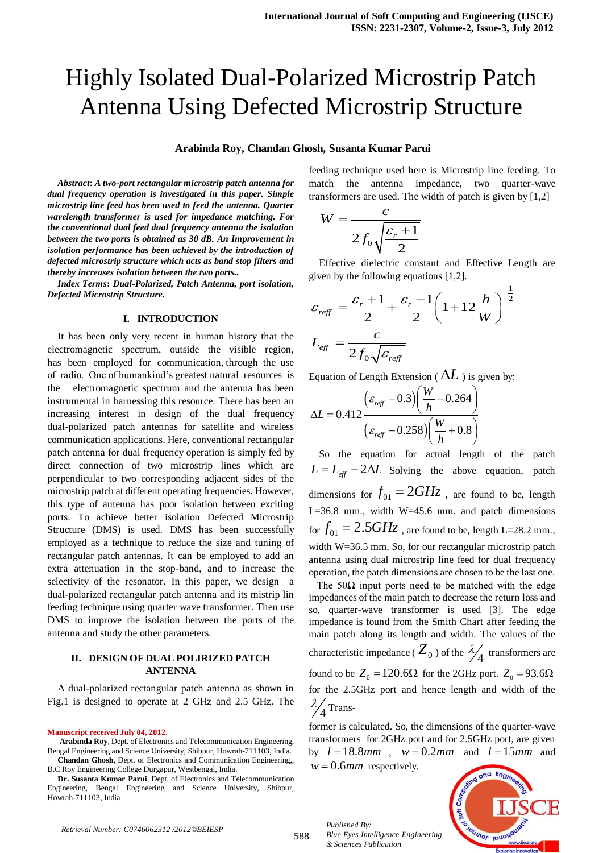# Highly Isolated Dual-Polarized Microstrip Patch Antenna Using Defected Microstrip Structure

## **Arabinda Roy, Chandan Ghosh, Susanta Kumar Parui**

*Abstract***:** *A two-port rectangular microstrip patch antenna for dual frequency operation is investigated in this paper. Simple microstrip line feed has been used to feed the antenna. Quarter wavelength transformer is used for impedance matching. For the conventional dual feed dual frequency antenna the isolation between the two ports is obtained as 30 dB. An Improvement in isolation performance has been achieved by the introduction of defected microstrip structure which acts as band stop filters and thereby increases isolation between the two ports..*

*Index Terms***:** *Dual-Polarized, Patch Antenna, port isolation, Defected Microstrip Structure.*

#### **I. INTRODUCTION**

It has been only very recent in human history that the electromagnetic spectrum, outside the visible region, has been employed for communication, through the use of radio. One of humankind's greatest natural resources is the electromagnetic spectrum and the antenna has been instrumental in harnessing this resource. There has been an increasing interest in design of the dual frequency dual-polarized patch antennas for satellite and wireless communication applications. Here, conventional rectangular patch antenna for dual frequency operation is simply fed by direct connection of two microstrip lines which are perpendicular to two corresponding adjacent sides of the microstrip patch at different operating frequencies. However, this type of antenna has poor isolation between exciting ports. To achieve better isolation Defected Microstrip Structure (DMS) is used. DMS has been successfully employed as a technique to reduce the size and tuning of rectangular patch antennas. It can be employed to add an extra attenuation in the stop-band, and to increase the selectivity of the resonator. In this paper, we design a dual-polarized rectangular patch antenna and its mistrip lin feeding technique using quarter wave transformer. Then use DMS to improve the isolation between the ports of the antenna and study the other parameters.

## **II. DESIGN OF DUAL POLIRIZED PATCH ANTENNA**

A dual-polarized rectangular patch antenna as shown in Fig.1 is designed to operate at 2 GHz and 2.5 GHz. The

#### **Manuscript received July 04, 2012**.

**Arabinda Roy**, Dept. of Electronics and Telecommunication Engineering, Bengal Engineering and Science University, Shibpur, Howrah-711103, India. **Chandan Ghosh**, Dept. of Electronics and Communication Engineering,, B.C Roy Engineering College Durgapur, Westbengal, India.

**Dr. Susanta Kumar Parui**, Dept. of Electronics and Telecommunication Engineering, Bengal Engineering and Science University, Shibpur, Howrah-711103, India

feeding technique used here is Microstrip line feeding. To match the antenna impedance, two quarter-wave transformers are used. The width of patch is given by [1,2]

$$
W = \frac{c}{2f_0\sqrt{\frac{\varepsilon_r + 1}{2}}}
$$

Effective dielectric constant and Effective Length are

given by the following equations [1,2].  
\n
$$
\varepsilon_{\text{reff}} = \frac{\varepsilon_r + 1}{2} + \frac{\varepsilon_r - 1}{2} \left( 1 + 12 \frac{h}{W} \right)^{-\frac{1}{2}}
$$
\n
$$
L_{\text{eff}} = \frac{c}{2 f_0 \sqrt{\varepsilon_{\text{reff}}}}
$$

Equation of Length Extension (
$$
\Delta L
$$
) is given by:  
\n
$$
\Delta L = 0.412 \frac{\left(\varepsilon_{\text{ref}} + 0.3\right) \left(\frac{W}{h} + 0.264\right)}{\left(\varepsilon_{\text{ref}} - 0.258\right) \left(\frac{W}{h} + 0.8\right)}
$$

So the equation for actual length of the patch  $L = L_{eff} - 2\Delta L$  Solving the above equation, patch dimensions for  $f_{01} = 2GHz$  , are found to be, length L=36.8 mm., width  $W=45.6$  mm. and patch dimensions for  $f_{01} = 2.5 GHz$  , are found to be, length L=28.2 mm., width W=36.5 mm. So, for our rectangular microstrip patch antenna using dual microstrip line feed for dual frequency operation, the patch dimensions are chosen to be the last one.

The  $50\Omega$  input ports need to be matched with the edge impedances of the main patch to decrease the return loss and so, quarter-wave transformer is used [3]. The edge impedance is found from the Smith Chart after feeding the main patch along its length and width. The values of the characteristic impedance ( $Z_0$ ) of the  $\frac{\lambda}{4}$  transformers are found to be  $Z_0 = 120.6\Omega$  for the 2GHz port.  $Z_0 = 93.6\Omega$ for the 2.5GHz port and hence length and width of the 4  $\frac{\lambda}{4}$  Trans-

former is calculated. So, the dimensions of the quarter-wave transformers for 2GHz port and for 2.5GHz port, are given by  $l = 18.8$ mm,  $w = 0.2$ mm and  $l = 15$ mm and

 $w = 0.6$ *mm* respectively.

*& Sciences Publication* 

*Blue Eyes Intelligence Engineering* 

*Published By:*

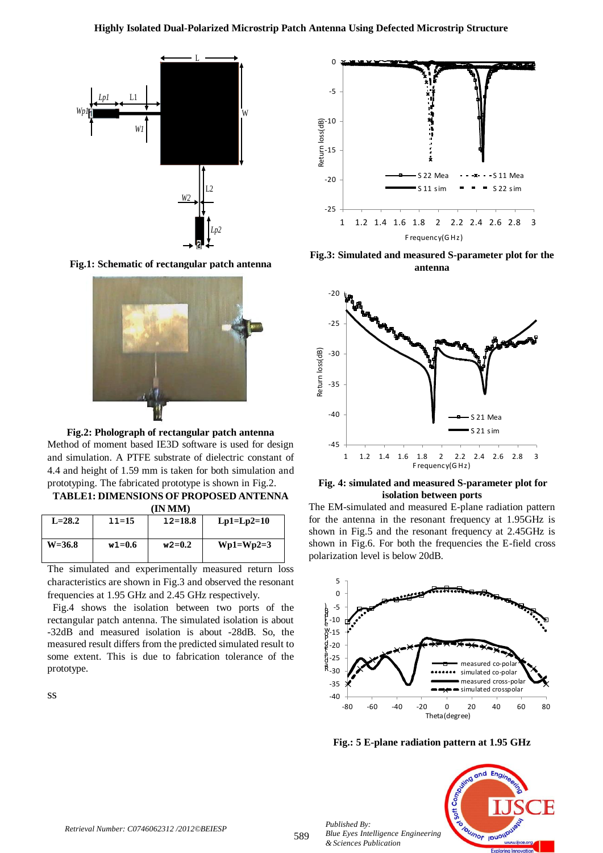

**Fig.1: Schematic of rectangular patch antenna**



**Fig.2: Pholograph of rectangular patch antenna** Method of moment based IE3D software is used for design and simulation. A PTFE substrate of dielectric constant of 4.4 and height of 1.59 mm is taken for both simulation and prototyping. The fabricated prototype is shown in Fig.2.

| <b>TABLE1: DIMENSIONS OF PROPOSED ANTENNA</b> |           |            |              |  |  |
|-----------------------------------------------|-----------|------------|--------------|--|--|
| (IN MM)                                       |           |            |              |  |  |
| $I - 282$                                     | $11 - 15$ | $12 - 188$ | I n1–I n2–10 |  |  |

| $L=28.2$   | $11 = 15$  | $12 = 18.8$ | $Lp1=Lp2=10$ |
|------------|------------|-------------|--------------|
| $W = 36.8$ | $w1 = 0.6$ | $w2=0.2$    | $Wp1=Wp2=3$  |

The simulated and experimentally measured return loss characteristics are shown in Fig.3 and observed the resonant frequencies at 1.95 GHz and 2.45 GHz respectively.

 Fig.4 shows the isolation between two ports of the rectangular patch antenna. The simulated isolation is about -32dB and measured isolation is about -28dB. So, the measured result differs from the predicted simulated result to some extent. This is due to fabrication tolerance of the prototype.

ss



**Fig.3: Simulated and measured S-parameter plot for the antenna**



## **Fig. 4: simulated and measured S-parameter plot for isolation between ports**

The EM-simulated and measured E-plane radiation pattern for the antenna in the resonant frequency at 1.95GHz is shown in Fig.5 and the resonant frequency at 2.45GHz is shown in Fig.6. For both the frequencies the E-field cross polarization level is below 20dB.



**Fig.: 5 E-plane radiation pattern at 1.95 GHz**



*Retrieval Number: C0746062312 /2012©BEIESP*

589

*Published By:*

*& Sciences Publication*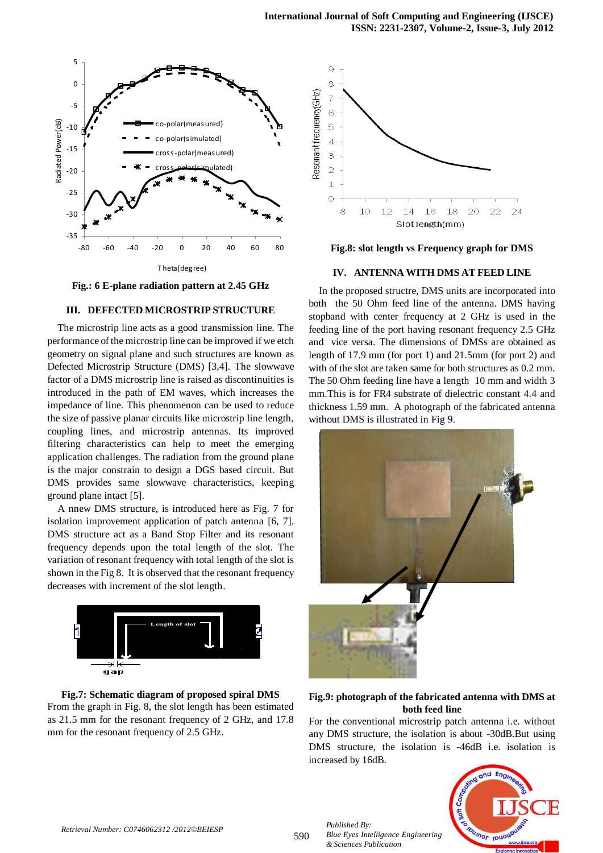

**Fig.: 6 E-plane radiation pattern at 2.45 GHz**

## **III. DEFECTED MICROSTRIP STRUCTURE**

The microstrip line acts as a good transmission line. The performance of the microstrip line can be improved if we etch geometry on signal plane and such structures are known as Defected Microstrip Structure (DMS) [3,4]. The slowwave factor of a DMS microstrip line is raised as discontinuities is introduced in the path of EM waves, which increases the impedance of line. This phenomenon can be used to reduce the size of passive planar circuits like microstrip line length, coupling lines, and microstrip antennas. Its improved filtering characteristics can help to meet the emerging application challenges. The radiation from the ground plane is the major constrain to design a DGS based circuit. But DMS provides same slowwave characteristics, keeping ground plane intact [5].

A nnew DMS structure, is introduced here as Fig. 7 for isolation improvement application of patch antenna [6, 7]. DMS structure act as a Band Stop Filter and its resonant frequency depends upon the total length of the slot. The variation of resonant frequency with total length of the slot is shown in the Fig 8. It is observed that the resonant frequency decreases with increment of the slot length.









#### **IV. ANTENNA WITH DMS AT FEED LINE**

In the proposed structre, DMS units are incorporated into both the 50 Ohm feed line of the antenna. DMS having stopband with center frequency at 2 GHz is used in the feeding line of the port having resonant frequency 2.5 GHz and vice versa. The dimensions of DMSs are obtained as length of 17.9 mm (for port 1) and 21.5mm (for port 2) and with of the slot are taken same for both structures as 0.2 mm. The 50 Ohm feeding line have a length 10 mm and width 3 mm.This is for FR4 substrate of dielectric constant 4.4 and thickness 1.59 mm. A photograph of the fabricated antenna without DMS is illustrated in Fig 9.



## **Fig.9: photograph of the fabricated antenna with DMS at both feed line**

For the conventional microstrip patch antenna i.e. without any DMS structure, the isolation is about -30dB.But using DMS structure, the isolation is -46dB i.e. isolation is increased by 16dB.



*Published By:*

*& Sciences Publication* 

*Blue Eyes Intelligence Engineering*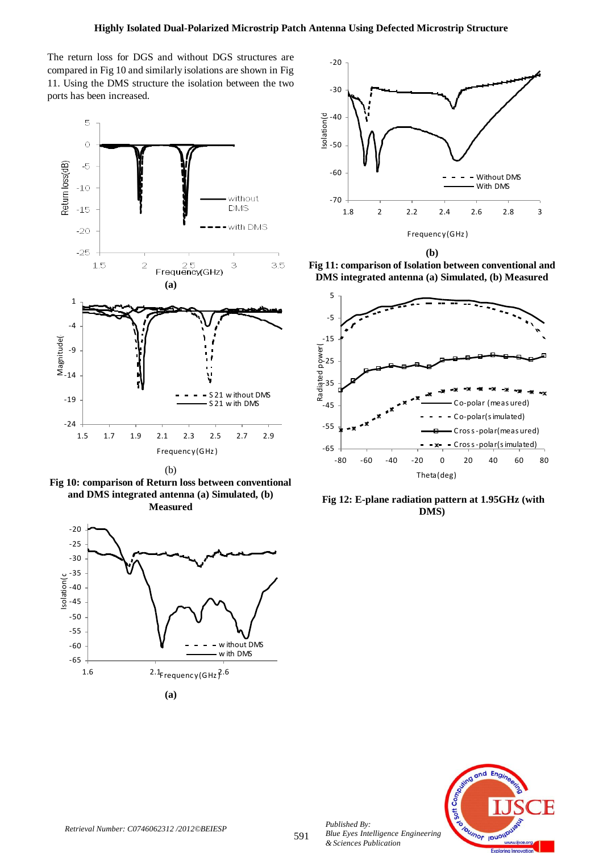The return loss for DGS and without DGS structures are compared in Fig 10 and similarly isolations are shown in Fig 11. Using the DMS structure the isolation between the two ports has been increased.



(b)







**(b)**

**Fig 11: comparison of Isolation between conventional and DMS integrated antenna (a) Simulated, (b) Measured**



**Fig 12: E-plane radiation pattern at 1.95GHz (with DMS)**



*Published By:*

*& Sciences Publication*